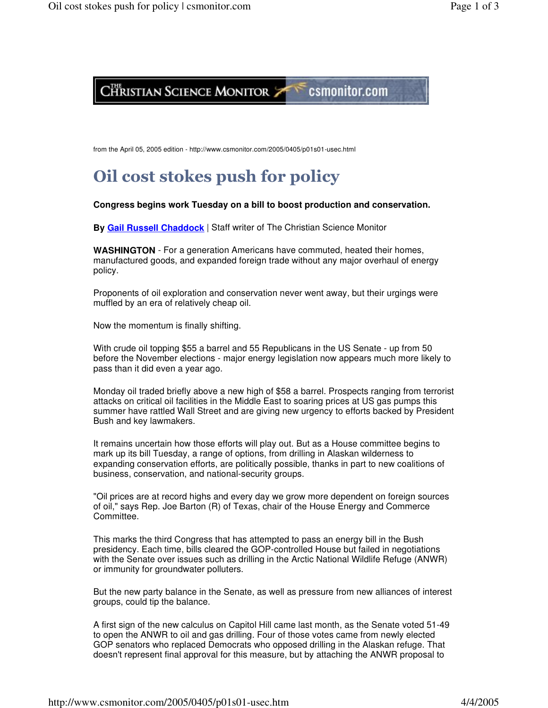

from the April 05, 2005 edition - http://www.csmonitor.com/2005/0405/p01s01-usec.html

## Oil cost stokes push for policy

## **Congress begins work Tuesday on a bill to boost production and conservation.**

**By Gail Russell Chaddock** | Staff writer of The Christian Science Monitor

**WASHINGTON** - For a generation Americans have commuted, heated their homes, manufactured goods, and expanded foreign trade without any major overhaul of energy policy.

Proponents of oil exploration and conservation never went away, but their urgings were muffled by an era of relatively cheap oil.

Now the momentum is finally shifting.

With crude oil topping \$55 a barrel and 55 Republicans in the US Senate - up from 50 before the November elections - major energy legislation now appears much more likely to pass than it did even a year ago.

Monday oil traded briefly above a new high of \$58 a barrel. Prospects ranging from terrorist attacks on critical oil facilities in the Middle East to soaring prices at US gas pumps this summer have rattled Wall Street and are giving new urgency to efforts backed by President Bush and key lawmakers.

It remains uncertain how those efforts will play out. But as a House committee begins to mark up its bill Tuesday, a range of options, from drilling in Alaskan wilderness to expanding conservation efforts, are politically possible, thanks in part to new coalitions of business, conservation, and national-security groups.

"Oil prices are at record highs and every day we grow more dependent on foreign sources of oil," says Rep. Joe Barton (R) of Texas, chair of the House Energy and Commerce Committee.

This marks the third Congress that has attempted to pass an energy bill in the Bush presidency. Each time, bills cleared the GOP-controlled House but failed in negotiations with the Senate over issues such as drilling in the Arctic National Wildlife Refuge (ANWR) or immunity for groundwater polluters.

But the new party balance in the Senate, as well as pressure from new alliances of interest groups, could tip the balance.

A first sign of the new calculus on Capitol Hill came last month, as the Senate voted 51-49 to open the ANWR to oil and gas drilling. Four of those votes came from newly elected GOP senators who replaced Democrats who opposed drilling in the Alaskan refuge. That doesn't represent final approval for this measure, but by attaching the ANWR proposal to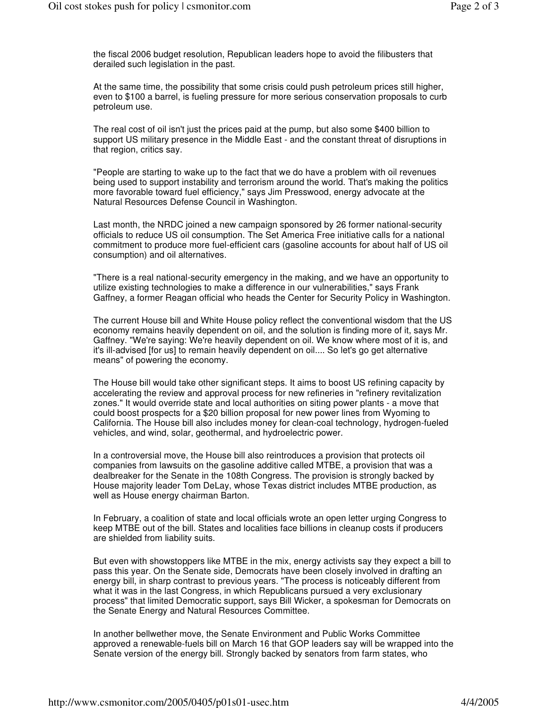the fiscal 2006 budget resolution, Republican leaders hope to avoid the filibusters that derailed such legislation in the past.

At the same time, the possibility that some crisis could push petroleum prices still higher, even to \$100 a barrel, is fueling pressure for more serious conservation proposals to curb petroleum use.

The real cost of oil isn't just the prices paid at the pump, but also some \$400 billion to support US military presence in the Middle East - and the constant threat of disruptions in that region, critics say.

"People are starting to wake up to the fact that we do have a problem with oil revenues being used to support instability and terrorism around the world. That's making the politics more favorable toward fuel efficiency," says Jim Presswood, energy advocate at the Natural Resources Defense Council in Washington.

Last month, the NRDC joined a new campaign sponsored by 26 former national-security officials to reduce US oil consumption. The Set America Free initiative calls for a national commitment to produce more fuel-efficient cars (gasoline accounts for about half of US oil consumption) and oil alternatives.

"There is a real national-security emergency in the making, and we have an opportunity to utilize existing technologies to make a difference in our vulnerabilities," says Frank Gaffney, a former Reagan official who heads the Center for Security Policy in Washington.

The current House bill and White House policy reflect the conventional wisdom that the US economy remains heavily dependent on oil, and the solution is finding more of it, says Mr. Gaffney. "We're saying: We're heavily dependent on oil. We know where most of it is, and it's ill-advised [for us] to remain heavily dependent on oil.... So let's go get alternative means" of powering the economy.

The House bill would take other significant steps. It aims to boost US refining capacity by accelerating the review and approval process for new refineries in "refinery revitalization zones." It would override state and local authorities on siting power plants - a move that could boost prospects for a \$20 billion proposal for new power lines from Wyoming to California. The House bill also includes money for clean-coal technology, hydrogen-fueled vehicles, and wind, solar, geothermal, and hydroelectric power.

In a controversial move, the House bill also reintroduces a provision that protects oil companies from lawsuits on the gasoline additive called MTBE, a provision that was a dealbreaker for the Senate in the 108th Congress. The provision is strongly backed by House majority leader Tom DeLay, whose Texas district includes MTBE production, as well as House energy chairman Barton.

In February, a coalition of state and local officials wrote an open letter urging Congress to keep MTBE out of the bill. States and localities face billions in cleanup costs if producers are shielded from liability suits.

But even with showstoppers like MTBE in the mix, energy activists say they expect a bill to pass this year. On the Senate side, Democrats have been closely involved in drafting an energy bill, in sharp contrast to previous years. "The process is noticeably different from what it was in the last Congress, in which Republicans pursued a very exclusionary process" that limited Democratic support, says Bill Wicker, a spokesman for Democrats on the Senate Energy and Natural Resources Committee.

In another bellwether move, the Senate Environment and Public Works Committee approved a renewable-fuels bill on March 16 that GOP leaders say will be wrapped into the Senate version of the energy bill. Strongly backed by senators from farm states, who